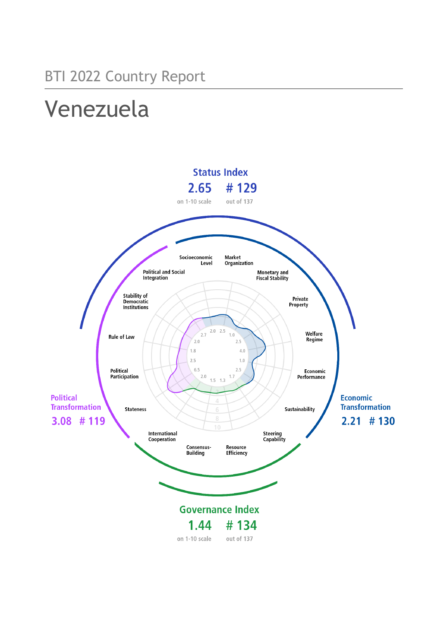# Venezuela

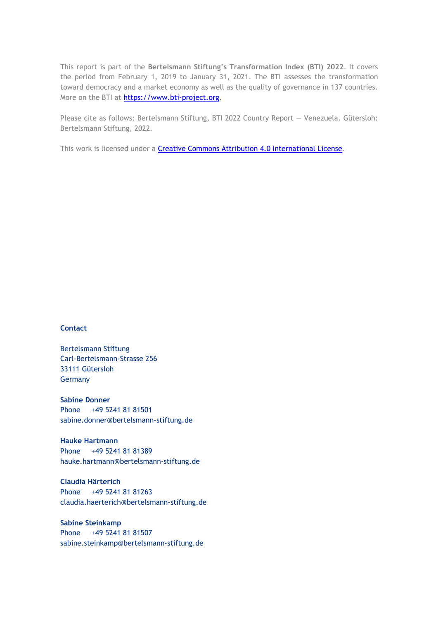This report is part of the **Bertelsmann Stiftung's Transformation Index (BTI) 2022**. It covers the period from February 1, 2019 to January 31, 2021. The BTI assesses the transformation toward democracy and a market economy as well as the quality of governance in 137 countries. More on the BTI at [https://www.bti-project.org.](https://www.bti-project.org/)

Please cite as follows: Bertelsmann Stiftung, BTI 2022 Country Report — Venezuela. Gütersloh: Bertelsmann Stiftung, 2022.

This work is licensed under a **Creative Commons Attribution 4.0 International License**.

#### **Contact**

Bertelsmann Stiftung Carl-Bertelsmann-Strasse 256 33111 Gütersloh Germany

**Sabine Donner** Phone +49 5241 81 81501 sabine.donner@bertelsmann-stiftung.de

**Hauke Hartmann** Phone +49 5241 81 81389 hauke.hartmann@bertelsmann-stiftung.de

**Claudia Härterich** Phone +49 5241 81 81263 claudia.haerterich@bertelsmann-stiftung.de

#### **Sabine Steinkamp** Phone +49 5241 81 81507 sabine.steinkamp@bertelsmann-stiftung.de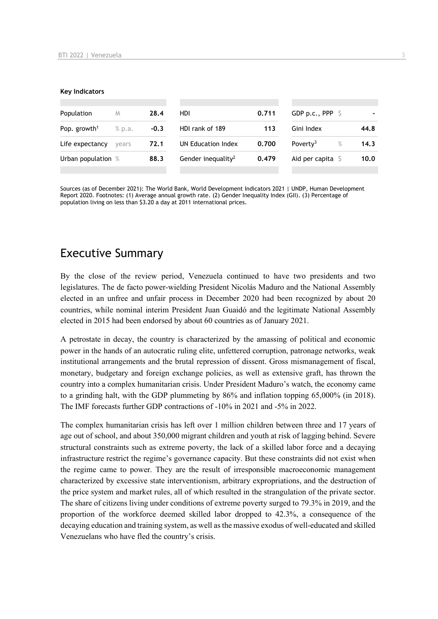#### **Key Indicators**

| Population               | M      | 28.4   | HDI                            | 0.711 | GDP p.c., PPP $\ S$       |      |
|--------------------------|--------|--------|--------------------------------|-------|---------------------------|------|
| Pop. growth <sup>1</sup> | % p.a. | $-0.3$ | HDI rank of 189                | 113   | Gini Index                | 44.8 |
| Life expectancy          | vears  | 72.1   | UN Education Index             | 0.700 | Poverty <sup>3</sup><br>% | 14.3 |
| Urban population %       |        | 88.3   | Gender inequality <sup>2</sup> | 0.479 | Aid per capita            | 10.0 |
|                          |        |        |                                |       |                           |      |

Sources (as of December 2021): The World Bank, World Development Indicators 2021 | UNDP, Human Development Report 2020. Footnotes: (1) Average annual growth rate. (2) Gender Inequality Index (GII). (3) Percentage of population living on less than \$3.20 a day at 2011 international prices.

## Executive Summary

By the close of the review period, Venezuela continued to have two presidents and two legislatures. The de facto power-wielding President Nicolás Maduro and the National Assembly elected in an unfree and unfair process in December 2020 had been recognized by about 20 countries, while nominal interim President Juan Guaidó and the legitimate National Assembly elected in 2015 had been endorsed by about 60 countries as of January 2021.

A petrostate in decay, the country is characterized by the amassing of political and economic power in the hands of an autocratic ruling elite, unfettered corruption, patronage networks, weak institutional arrangements and the brutal repression of dissent. Gross mismanagement of fiscal, monetary, budgetary and foreign exchange policies, as well as extensive graft, has thrown the country into a complex humanitarian crisis. Under President Maduro's watch, the economy came to a grinding halt, with the GDP plummeting by 86% and inflation topping 65,000% (in 2018). The IMF forecasts further GDP contractions of -10% in 2021 and -5% in 2022.

The complex humanitarian crisis has left over 1 million children between three and 17 years of age out of school, and about 350,000 migrant children and youth at risk of lagging behind. Severe structural constraints such as extreme poverty, the lack of a skilled labor force and a decaying infrastructure restrict the regime's governance capacity. But these constraints did not exist when the regime came to power. They are the result of irresponsible macroeconomic management characterized by excessive state interventionism, arbitrary expropriations, and the destruction of the price system and market rules, all of which resulted in the strangulation of the private sector. The share of citizens living under conditions of extreme poverty surged to 79.3% in 2019, and the proportion of the workforce deemed skilled labor dropped to 42.3%, a consequence of the decaying education and training system, as well as the massive exodus of well-educated and skilled Venezuelans who have fled the country's crisis.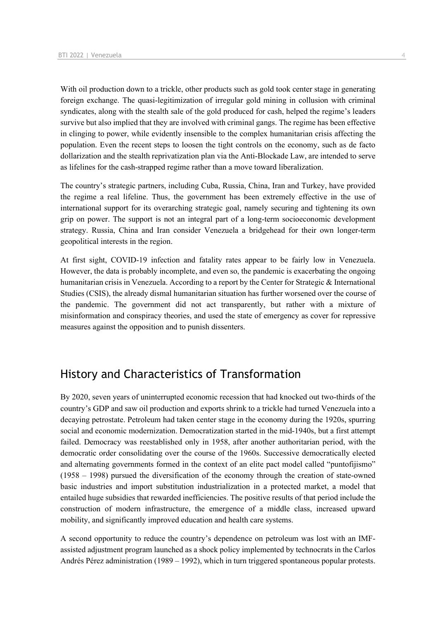With oil production down to a trickle, other products such as gold took center stage in generating foreign exchange. The quasi-legitimization of irregular gold mining in collusion with criminal syndicates, along with the stealth sale of the gold produced for cash, helped the regime's leaders survive but also implied that they are involved with criminal gangs. The regime has been effective in clinging to power, while evidently insensible to the complex humanitarian crisis affecting the population. Even the recent steps to loosen the tight controls on the economy, such as de facto dollarization and the stealth reprivatization plan via the Anti-Blockade Law, are intended to serve as lifelines for the cash-strapped regime rather than a move toward liberalization.

The country's strategic partners, including Cuba, Russia, China, Iran and Turkey, have provided the regime a real lifeline. Thus, the government has been extremely effective in the use of international support for its overarching strategic goal, namely securing and tightening its own grip on power. The support is not an integral part of a long-term socioeconomic development strategy. Russia, China and Iran consider Venezuela a bridgehead for their own longer-term geopolitical interests in the region.

At first sight, COVID-19 infection and fatality rates appear to be fairly low in Venezuela. However, the data is probably incomplete, and even so, the pandemic is exacerbating the ongoing humanitarian crisis in Venezuela. According to a report by the Center for Strategic & International Studies (CSIS), the already dismal humanitarian situation has further worsened over the course of the pandemic. The government did not act transparently, but rather with a mixture of misinformation and conspiracy theories, and used the state of emergency as cover for repressive measures against the opposition and to punish dissenters.

## History and Characteristics of Transformation

By 2020, seven years of uninterrupted economic recession that had knocked out two-thirds of the country's GDP and saw oil production and exports shrink to a trickle had turned Venezuela into a decaying petrostate. Petroleum had taken center stage in the economy during the 1920s, spurring social and economic modernization. Democratization started in the mid-1940s, but a first attempt failed. Democracy was reestablished only in 1958, after another authoritarian period, with the democratic order consolidating over the course of the 1960s. Successive democratically elected and alternating governments formed in the context of an elite pact model called "puntofijismo" (1958 – 1998) pursued the diversification of the economy through the creation of state-owned basic industries and import substitution industrialization in a protected market, a model that entailed huge subsidies that rewarded inefficiencies. The positive results of that period include the construction of modern infrastructure, the emergence of a middle class, increased upward mobility, and significantly improved education and health care systems.

A second opportunity to reduce the country's dependence on petroleum was lost with an IMFassisted adjustment program launched as a shock policy implemented by technocrats in the Carlos Andrés Pérez administration (1989 – 1992), which in turn triggered spontaneous popular protests.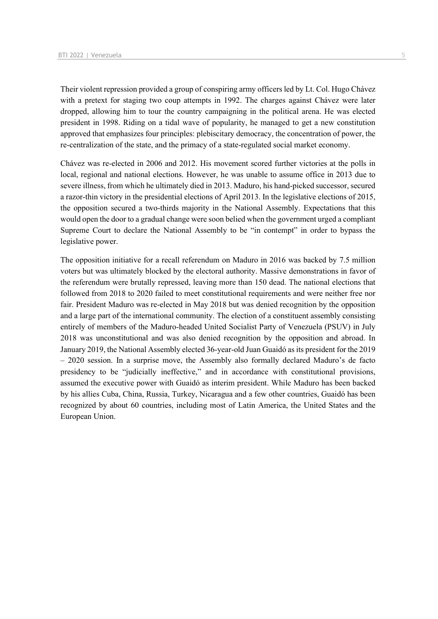Their violent repression provided a group of conspiring army officers led by Lt. Col. Hugo Chávez with a pretext for staging two coup attempts in 1992. The charges against Chávez were later dropped, allowing him to tour the country campaigning in the political arena. He was elected president in 1998. Riding on a tidal wave of popularity, he managed to get a new constitution approved that emphasizes four principles: plebiscitary democracy, the concentration of power, the re-centralization of the state, and the primacy of a state-regulated social market economy.

Chávez was re-elected in 2006 and 2012. His movement scored further victories at the polls in local, regional and national elections. However, he was unable to assume office in 2013 due to severe illness, from which he ultimately died in 2013. Maduro, his hand-picked successor, secured a razor-thin victory in the presidential elections of April 2013. In the legislative elections of 2015, the opposition secured a two-thirds majority in the National Assembly. Expectations that this would open the door to a gradual change were soon belied when the government urged a compliant Supreme Court to declare the National Assembly to be "in contempt" in order to bypass the legislative power.

The opposition initiative for a recall referendum on Maduro in 2016 was backed by 7.5 million voters but was ultimately blocked by the electoral authority. Massive demonstrations in favor of the referendum were brutally repressed, leaving more than 150 dead. The national elections that followed from 2018 to 2020 failed to meet constitutional requirements and were neither free nor fair. President Maduro was re-elected in May 2018 but was denied recognition by the opposition and a large part of the international community. The election of a constituent assembly consisting entirely of members of the Maduro-headed United Socialist Party of Venezuela (PSUV) in July 2018 was unconstitutional and was also denied recognition by the opposition and abroad. In January 2019, the National Assembly elected 36-year-old Juan Guaidó as its president for the 2019 – 2020 session. In a surprise move, the Assembly also formally declared Maduro's de facto presidency to be "judicially ineffective," and in accordance with constitutional provisions, assumed the executive power with Guaidó as interim president. While Maduro has been backed by his allies Cuba, China, Russia, Turkey, Nicaragua and a few other countries, Guaidó has been recognized by about 60 countries, including most of Latin America, the United States and the European Union.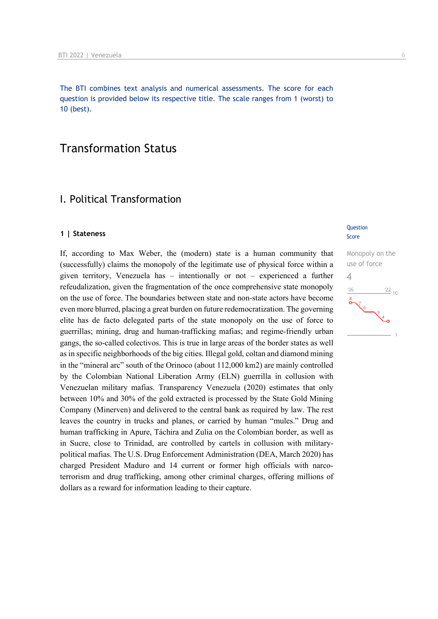The BTI combines text analysis and numerical assessments. The score for each question is provided below its respective title. The scale ranges from 1 (worst) to 10 (best).

## Transformation Status

## I. Political Transformation

#### **1 | Stateness**

If, according to Max Weber, the (modern) state is a human community that (successfully) claims the monopoly of the legitimate use of physical force within a given territory, Venezuela has – intentionally or not – experienced a further refeudalization, given the fragmentation of the once comprehensive state monopoly on the use of force. The boundaries between state and non-state actors have become even more blurred, placing a great burden on future redemocratization. The governing elite has de facto delegated parts of the state monopoly on the use of force to guerrillas; mining, drug and human-trafficking mafias; and regime-friendly urban gangs, the so-called colectivos. This is true in large areas of the border states as well as in specific neighborhoods of the big cities. Illegal gold, coltan and diamond mining in the "mineral arc" south of the Orinoco (about 112,000 km2) are mainly controlled by the Colombian National Liberation Army (ELN) guerrilla in collusion with Venezuelan military mafias. Transparency Venezuela (2020) estimates that only between 10% and 30% of the gold extracted is processed by the State Gold Mining Company (Minerven) and delivered to the central bank as required by law. The rest leaves the country in trucks and planes, or carried by human "mules." Drug and human trafficking in Apure, Táchira and Zulia on the Colombian border, as well as in Sucre, close to Trinidad, are controlled by cartels in collusion with militarypolitical mafias. The U.S. Drug Enforcement Administration (DEA, March 2020) has charged President Maduro and 14 current or former high officials with narcoterrorism and drug trafficking, among other criminal charges, offering millions of dollars as a reward for information leading to their capture.

#### **Question** Score

Monopoly on the use of force 4 $\frac{22}{10}$  $106$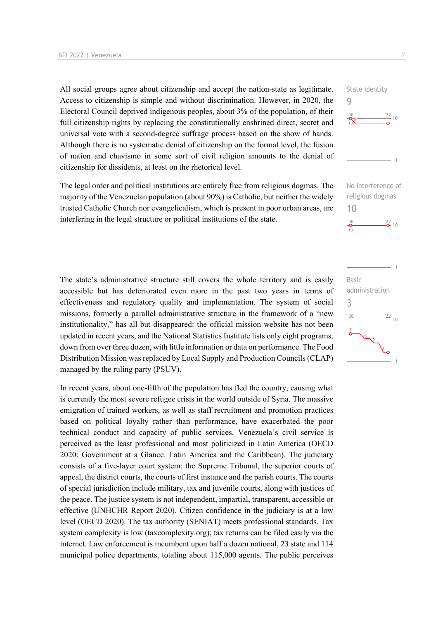All social groups agree about citizenship and accept the nation-state as legitimate. Access to citizenship is simple and without discrimination. However, in 2020, the Electoral Council deprived indigenous peoples, about 3% of the population, of their full citizenship rights by replacing the constitutionally enshrined direct, secret and universal vote with a second-degree suffrage process based on the show of hands. Although there is no systematic denial of citizenship on the formal level, the fusion of nation and chavismo in some sort of civil religion amounts to the denial of citizenship for dissidents, at least on the rhetorical level.

The legal order and political institutions are entirely free from religious dogmas. The majority of the Venezuelan population (about 90%) is Catholic, but neither the widely trusted Catholic Church nor evangelicalism, which is present in poor urban areas, are interfering in the legal structure or political institutions of the state.

The state's administrative structure still covers the whole territory and is easily accessible but has deteriorated even more in the past two years in terms of effectiveness and regulatory quality and implementation. The system of social missions, formerly a parallel administrative structure in the framework of a "new institutionality," has all but disappeared: the official mission website has not been updated in recent years, and the National Statistics Institute lists only eight programs, down from over three dozen, with little information or data on performance. The Food Distribution Mission was replaced by Local Supply and Production Councils (CLAP) managed by the ruling party (PSUV).

In recent years, about one-fifth of the population has fled the country, causing what is currently the most severe refugee crisis in the world outside of Syria. The massive emigration of trained workers, as well as staff recruitment and promotion practices based on political loyalty rather than performance, have exacerbated the poor technical conduct and capacity of public services. Venezuela's civil service is perceived as the least professional and most politicized in Latin America (OECD 2020: Government at a Glance. Latin America and the Caribbean). The judiciary consists of a five-layer court system: the Supreme Tribunal, the superior courts of appeal, the district courts, the courts of first instance and the parish courts. The courts of special jurisdiction include military, tax and juvenile courts, along with justices of the peace. The justice system is not independent, impartial, transparent, accessible or effective (UNHCHR Report 2020). Citizen confidence in the judiciary is at a low level (OECD 2020). The tax authority (SENIAT) meets professional standards. Tax system complexity is low (taxcomplexity.org); tax returns can be filed easily via the internet. Law enforcement is incumbent upon half a dozen national, 23 state and 114 municipal police departments, totaling about 115,000 agents. The public perceives

State identity 9



No interference of religious dogmas 10  $\frac{22}{2}$  10

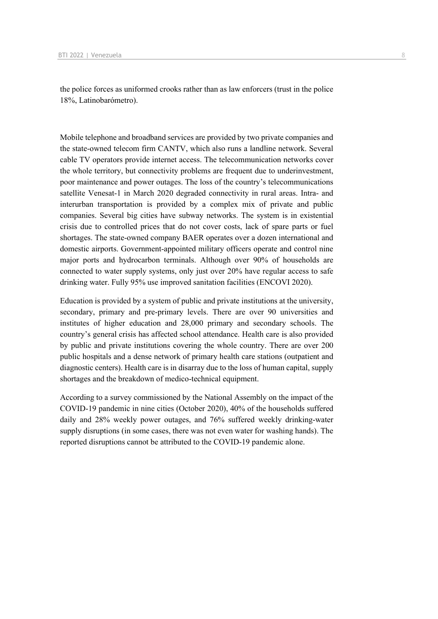the police forces as uniformed crooks rather than as law enforcers (trust in the police 18%, Latinobarómetro).

Mobile telephone and broadband services are provided by two private companies and the state-owned telecom firm CANTV, which also runs a landline network. Several cable TV operators provide internet access. The telecommunication networks cover the whole territory, but connectivity problems are frequent due to underinvestment, poor maintenance and power outages. The loss of the country's telecommunications satellite Venesat-1 in March 2020 degraded connectivity in rural areas. Intra- and interurban transportation is provided by a complex mix of private and public companies. Several big cities have subway networks. The system is in existential crisis due to controlled prices that do not cover costs, lack of spare parts or fuel shortages. The state-owned company BAER operates over a dozen international and domestic airports. Government-appointed military officers operate and control nine major ports and hydrocarbon terminals. Although over 90% of households are connected to water supply systems, only just over 20% have regular access to safe drinking water. Fully 95% use improved sanitation facilities (ENCOVI 2020).

Education is provided by a system of public and private institutions at the university, secondary, primary and pre-primary levels. There are over 90 universities and institutes of higher education and 28,000 primary and secondary schools. The country's general crisis has affected school attendance. Health care is also provided by public and private institutions covering the whole country. There are over 200 public hospitals and a dense network of primary health care stations (outpatient and diagnostic centers). Health care is in disarray due to the loss of human capital, supply shortages and the breakdown of medico-technical equipment.

According to a survey commissioned by the National Assembly on the impact of the COVID-19 pandemic in nine cities (October 2020), 40% of the households suffered daily and 28% weekly power outages, and 76% suffered weekly drinking-water supply disruptions (in some cases, there was not even water for washing hands). The reported disruptions cannot be attributed to the COVID-19 pandemic alone.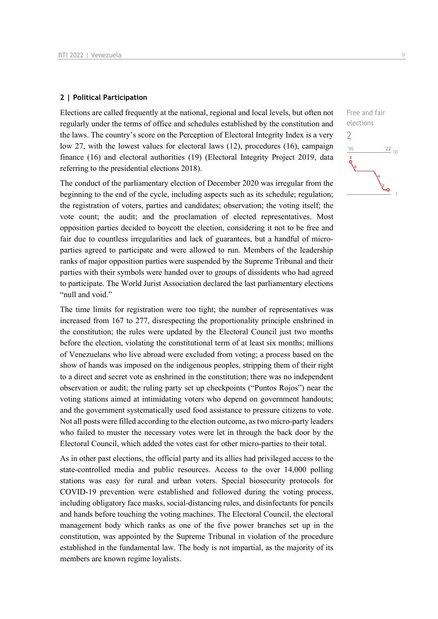#### **2 | Political Participation**

Elections are called frequently at the national, regional and local levels, but often not regularly under the terms of office and schedules established by the constitution and the laws. The country's score on the Perception of Electoral Integrity Index is a very low 27, with the lowest values for electoral laws (12), procedures (16), campaign finance (16) and electoral authorities (19) (Electoral Integrity Project 2019, data referring to the presidential elections 2018).

The conduct of the parliamentary election of December 2020 was irregular from the beginning to the end of the cycle, including aspects such as its schedule; regulation; the registration of voters, parties and candidates; observation; the voting itself; the vote count; the audit; and the proclamation of elected representatives. Most opposition parties decided to boycott the election, considering it not to be free and fair due to countless irregularities and lack of guarantees, but a handful of microparties agreed to participate and were allowed to run. Members of the leadership ranks of major opposition parties were suspended by the Supreme Tribunal and their parties with their symbols were handed over to groups of dissidents who had agreed to participate. The World Jurist Association declared the last parliamentary elections "null and void."

The time limits for registration were too tight; the number of representatives was increased from 167 to 277, disrespecting the proportionality principle enshrined in the constitution; the rules were updated by the Electoral Council just two months before the election, violating the constitutional term of at least six months; millions of Venezuelans who live abroad were excluded from voting; a process based on the show of hands was imposed on the indigenous peoples, stripping them of their right to a direct and secret vote as enshrined in the constitution; there was no independent observation or audit; the ruling party set up checkpoints ("Puntos Rojos") near the voting stations aimed at intimidating voters who depend on government handouts; and the government systematically used food assistance to pressure citizens to vote. Not all posts were filled according to the election outcome, as two micro-party leaders who failed to muster the necessary votes were let in through the back door by the Electoral Council, which added the votes cast for other micro-parties to their total.

As in other past elections, the official party and its allies had privileged access to the state-controlled media and public resources. Access to the over 14,000 polling stations was easy for rural and urban voters. Special biosecurity protocols for COVID-19 prevention were established and followed during the voting process, including obligatory face masks, social-distancing rules, and disinfectants for pencils and hands before touching the voting machines. The Electoral Council, the electoral management body which ranks as one of the five power branches set up in the constitution, was appointed by the Supreme Tribunal in violation of the procedure established in the fundamental law. The body is not impartial, as the majority of its members are known regime loyalists.

Free and fair elections  $\overline{\phantom{0}}$  $^{\prime}06$  $\frac{22}{10}$ گہ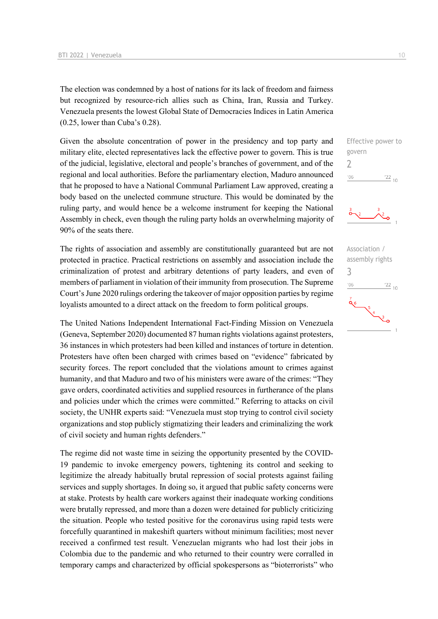The election was condemned by a host of nations for its lack of freedom and fairness but recognized by resource-rich allies such as China, Iran, Russia and Turkey. Venezuela presents the lowest Global State of Democracies Indices in Latin America (0.25, lower than Cuba's 0.28).

Given the absolute concentration of power in the presidency and top party and military elite, elected representatives lack the effective power to govern. This is true of the judicial, legislative, electoral and people's branches of government, and of the regional and local authorities. Before the parliamentary election, Maduro announced that he proposed to have a National Communal Parliament Law approved, creating a body based on the unelected commune structure. This would be dominated by the ruling party, and would hence be a welcome instrument for keeping the National Assembly in check, even though the ruling party holds an overwhelming majority of 90% of the seats there.

The rights of association and assembly are constitutionally guaranteed but are not protected in practice. Practical restrictions on assembly and association include the criminalization of protest and arbitrary detentions of party leaders, and even of members of parliament in violation of their immunity from prosecution. The Supreme Court's June 2020 rulings ordering the takeover of major opposition parties by regime loyalists amounted to a direct attack on the freedom to form political groups.

The United Nations Independent International Fact-Finding Mission on Venezuela (Geneva, September 2020) documented 87 human rights violations against protesters, 36 instances in which protesters had been killed and instances of torture in detention. Protesters have often been charged with crimes based on "evidence" fabricated by security forces. The report concluded that the violations amount to crimes against humanity, and that Maduro and two of his ministers were aware of the crimes: "They gave orders, coordinated activities and supplied resources in furtherance of the plans and policies under which the crimes were committed." Referring to attacks on civil society, the UNHR experts said: "Venezuela must stop trying to control civil society organizations and stop publicly stigmatizing their leaders and criminalizing the work of civil society and human rights defenders."

The regime did not waste time in seizing the opportunity presented by the COVID-19 pandemic to invoke emergency powers, tightening its control and seeking to legitimize the already habitually brutal repression of social protests against failing services and supply shortages. In doing so, it argued that public safety concerns were at stake. Protests by health care workers against their inadequate working conditions were brutally repressed, and more than a dozen were detained for publicly criticizing the situation. People who tested positive for the coronavirus using rapid tests were forcefully quarantined in makeshift quarters without minimum facilities; most never received a confirmed test result. Venezuelan migrants who had lost their jobs in Colombia due to the pandemic and who returned to their country were corralled in temporary camps and characterized by official spokespersons as "bioterrorists" who

Effective power to govern  $\overline{\phantom{0}}$  $^{\prime}06$  $\frac{22}{10}$ 



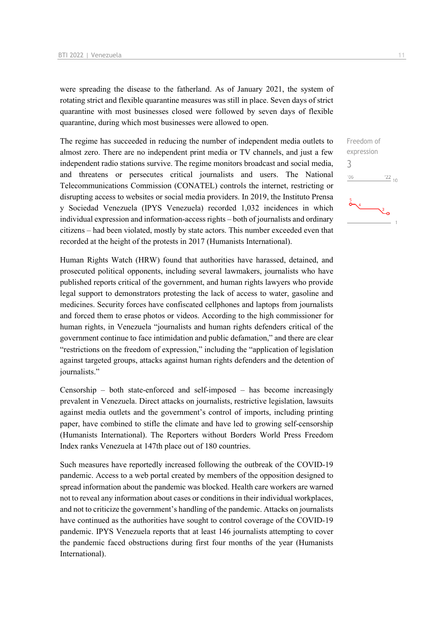were spreading the disease to the fatherland. As of January 2021, the system of rotating strict and flexible quarantine measures was still in place. Seven days of strict quarantine with most businesses closed were followed by seven days of flexible quarantine, during which most businesses were allowed to open.

The regime has succeeded in reducing the number of independent media outlets to almost zero. There are no independent print media or TV channels, and just a few independent radio stations survive. The regime monitors broadcast and social media, and threatens or persecutes critical journalists and users. The National Telecommunications Commission (CONATEL) controls the internet, restricting or disrupting access to websites or social media providers. In 2019, the Instituto Prensa y Sociedad Venezuela (IPYS Venezuela) recorded 1,032 incidences in which individual expression and information-access rights – both of journalists and ordinary citizens – had been violated, mostly by state actors. This number exceeded even that recorded at the height of the protests in 2017 (Humanists International).

Human Rights Watch (HRW) found that authorities have harassed, detained, and prosecuted political opponents, including several lawmakers, journalists who have published reports critical of the government, and human rights lawyers who provide legal support to demonstrators protesting the lack of access to water, gasoline and medicines. Security forces have confiscated cellphones and laptops from journalists and forced them to erase photos or videos. According to the high commissioner for human rights, in Venezuela "journalists and human rights defenders critical of the government continue to face intimidation and public defamation," and there are clear "restrictions on the freedom of expression," including the "application of legislation against targeted groups, attacks against human rights defenders and the detention of journalists."

Censorship – both state-enforced and self-imposed – has become increasingly prevalent in Venezuela. Direct attacks on journalists, restrictive legislation, lawsuits against media outlets and the government's control of imports, including printing paper, have combined to stifle the climate and have led to growing self-censorship (Humanists International). The Reporters without Borders World Press Freedom Index ranks Venezuela at 147th place out of 180 countries.

Such measures have reportedly increased following the outbreak of the COVID-19 pandemic. Access to a web portal created by members of the opposition designed to spread information about the pandemic was blocked. Health care workers are warned not to reveal any information about cases or conditions in their individual workplaces, and not to criticize the government's handling of the pandemic. Attacks on journalists have continued as the authorities have sought to control coverage of the COVID-19 pandemic. IPYS Venezuela reports that at least 146 journalists attempting to cover the pandemic faced obstructions during first four months of the year (Humanists International).

Freedom of expression

 $\frac{22}{10}$ 

3 $-06$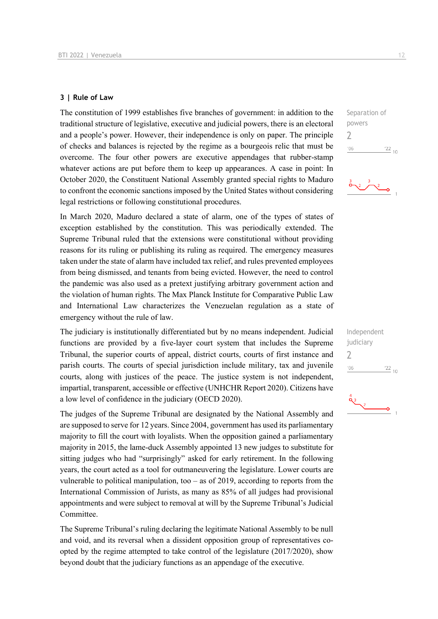#### **3 | Rule of Law**

The constitution of 1999 establishes five branches of government: in addition to the traditional structure of legislative, executive and judicial powers, there is an electoral and a people's power. However, their independence is only on paper. The principle of checks and balances is rejected by the regime as a bourgeois relic that must be overcome. The four other powers are executive appendages that rubber-stamp whatever actions are put before them to keep up appearances. A case in point: In October 2020, the Constituent National Assembly granted special rights to Maduro to confront the economic sanctions imposed by the United States without considering legal restrictions or following constitutional procedures.

In March 2020, Maduro declared a state of alarm, one of the types of states of exception established by the constitution. This was periodically extended. The Supreme Tribunal ruled that the extensions were constitutional without providing reasons for its ruling or publishing its ruling as required. The emergency measures taken under the state of alarm have included tax relief, and rules prevented employees from being dismissed, and tenants from being evicted. However, the need to control the pandemic was also used as a pretext justifying arbitrary government action and the violation of human rights. The Max Planck Institute for Comparative Public Law and International Law characterizes the Venezuelan regulation as a state of emergency without the rule of law.

The judiciary is institutionally differentiated but by no means independent. Judicial functions are provided by a five-layer court system that includes the Supreme Tribunal, the superior courts of appeal, district courts, courts of first instance and parish courts. The courts of special jurisdiction include military, tax and juvenile courts, along with justices of the peace. The justice system is not independent, impartial, transparent, accessible or effective (UNHCHR Report 2020). Citizens have a low level of confidence in the judiciary (OECD 2020).

The judges of the Supreme Tribunal are designated by the National Assembly and are supposed to serve for 12 years. Since 2004, government has used its parliamentary majority to fill the court with loyalists. When the opposition gained a parliamentary majority in 2015, the lame-duck Assembly appointed 13 new judges to substitute for sitting judges who had "surprisingly" asked for early retirement. In the following years, the court acted as a tool for outmaneuvering the legislature. Lower courts are vulnerable to political manipulation, too – as of 2019, according to reports from the International Commission of Jurists, as many as 85% of all judges had provisional appointments and were subject to removal at will by the Supreme Tribunal's Judicial Committee.

The Supreme Tribunal's ruling declaring the legitimate National Assembly to be null and void, and its reversal when a dissident opposition group of representatives coopted by the regime attempted to take control of the legislature (2017/2020), show beyond doubt that the judiciary functions as an appendage of the executive.





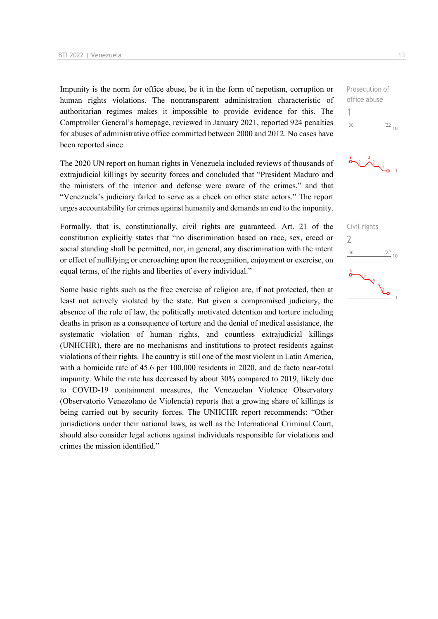Impunity is the norm for office abuse, be it in the form of nepotism, corruption or human rights violations. The nontransparent administration characteristic of authoritarian regimes makes it impossible to provide evidence for this. The Comptroller General's homepage, reviewed in January 2021, reported 924 penalties for abuses of administrative office committed between 2000 and 2012. No cases have been reported since.

The 2020 UN report on human rights in Venezuela included reviews of thousands of extrajudicial killings by security forces and concluded that "President Maduro and the ministers of the interior and defense were aware of the crimes," and that "Venezuela's judiciary failed to serve as a check on other state actors." The report urges accountability for crimes against humanity and demands an end to the impunity.

Formally, that is, constitutionally, civil rights are guaranteed. Art. 21 of the constitution explicitly states that "no discrimination based on race, sex, creed or social standing shall be permitted, nor, in general, any discrimination with the intent or effect of nullifying or encroaching upon the recognition, enjoyment or exercise, on equal terms, of the rights and liberties of every individual."

Some basic rights such as the free exercise of religion are, if not protected, then at least not actively violated by the state. But given a compromised judiciary, the absence of the rule of law, the politically motivated detention and torture including deaths in prison as a consequence of torture and the denial of medical assistance, the systematic violation of human rights, and countless extrajudicial killings (UNHCHR), there are no mechanisms and institutions to protect residents against violations of their rights. The country is still one of the most violent in Latin America, with a homicide rate of 45.6 per 100,000 residents in 2020, and de facto near-total impunity. While the rate has decreased by about 30% compared to 2019, likely due to COVID-19 containment measures, the Venezuelan Violence Observatory (Observatorio Venezolano de Violencia) reports that a growing share of killings is being carried out by security forces. The UNHCHR report recommends: "Other jurisdictions under their national laws, as well as the International Criminal Court, should also consider legal actions against individuals responsible for violations and crimes the mission identified."





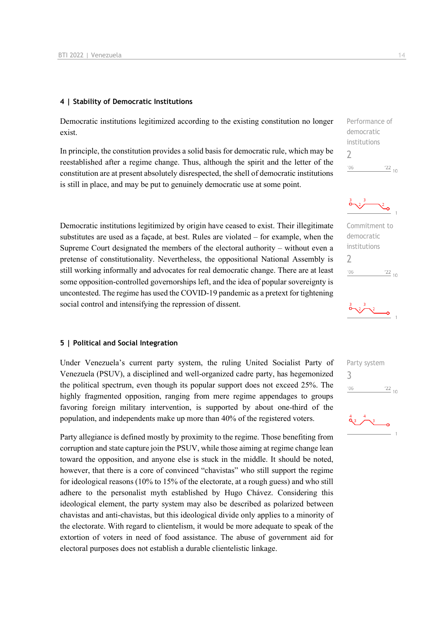#### **4 | Stability of Democratic Institutions**

Democratic institutions legitimized according to the existing constitution no longer exist.

In principle, the constitution provides a solid basis for democratic rule, which may be reestablished after a regime change. Thus, although the spirit and the letter of the constitution are at present absolutely disrespected, the shell of democratic institutions is still in place, and may be put to genuinely democratic use at some point.

Democratic institutions legitimized by origin have ceased to exist. Their illegitimate substitutes are used as a façade, at best. Rules are violated – for example, when the Supreme Court designated the members of the electoral authority – without even a pretense of constitutionality. Nevertheless, the oppositional National Assembly is still working informally and advocates for real democratic change. There are at least some opposition-controlled governorships left, and the idea of popular sovereignty is uncontested. The regime has used the COVID-19 pandemic as a pretext for tightening social control and intensifying the repression of dissent.

#### **5 | Political and Social Integration**

Under Venezuela's current party system, the ruling United Socialist Party of Venezuela (PSUV), a disciplined and well-organized cadre party, has hegemonized the political spectrum, even though its popular support does not exceed 25%. The highly fragmented opposition, ranging from mere regime appendages to groups favoring foreign military intervention, is supported by about one-third of the population, and independents make up more than 40% of the registered voters.

Party allegiance is defined mostly by proximity to the regime. Those benefiting from corruption and state capture join the PSUV, while those aiming at regime change lean toward the opposition, and anyone else is stuck in the middle. It should be noted, however, that there is a core of convinced "chavistas" who still support the regime for ideological reasons (10% to 15% of the electorate, at a rough guess) and who still adhere to the personalist myth established by Hugo Chávez. Considering this ideological element, the party system may also be described as polarized between chavistas and anti-chavistas, but this ideological divide only applies to a minority of the electorate. With regard to clientelism, it would be more adequate to speak of the extortion of voters in need of food assistance. The abuse of government aid for electoral purposes does not establish a durable clientelistic linkage.

| '06          | $^{22}$ 10 |  |
|--------------|------------|--|
| 7            |            |  |
| institutions |            |  |
| democratic   |            |  |

Commitment to democratic institutions 2  $-06$  $\frac{22}{10}$ 



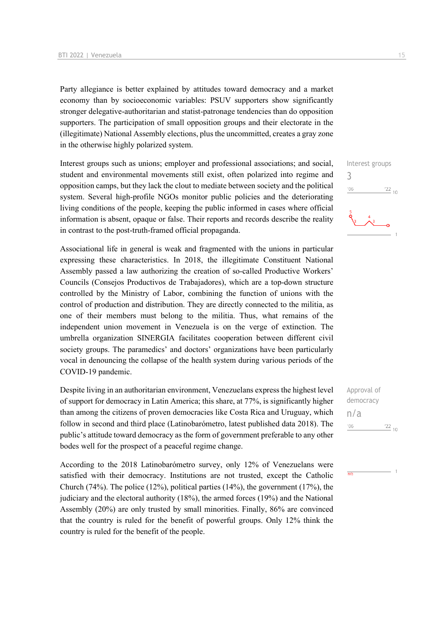Party allegiance is better explained by attitudes toward democracy and a market economy than by socioeconomic variables: PSUV supporters show significantly stronger delegative-authoritarian and statist-patronage tendencies than do opposition supporters. The participation of small opposition groups and their electorate in the (illegitimate) National Assembly elections, plus the uncommitted, creates a gray zone in the otherwise highly polarized system.

Interest groups such as unions; employer and professional associations; and social, student and environmental movements still exist, often polarized into regime and opposition camps, but they lack the clout to mediate between society and the political system. Several high-profile NGOs monitor public policies and the deteriorating living conditions of the people, keeping the public informed in cases where official information is absent, opaque or false. Their reports and records describe the reality in contrast to the post-truth-framed official propaganda.

Associational life in general is weak and fragmented with the unions in particular expressing these characteristics. In 2018, the illegitimate Constituent National Assembly passed a law authorizing the creation of so-called Productive Workers' Councils (Consejos Productivos de Trabajadores), which are a top-down structure controlled by the Ministry of Labor, combining the function of unions with the control of production and distribution. They are directly connected to the militia, as one of their members must belong to the militia. Thus, what remains of the independent union movement in Venezuela is on the verge of extinction. The umbrella organization SINERGIA facilitates cooperation between different civil society groups. The paramedics' and doctors' organizations have been particularly vocal in denouncing the collapse of the health system during various periods of the COVID-19 pandemic.

Despite living in an authoritarian environment, Venezuelans express the highest level of support for democracy in Latin America; this share, at 77%, is significantly higher than among the citizens of proven democracies like Costa Rica and Uruguay, which follow in second and third place (Latinobarómetro, latest published data 2018). The public's attitude toward democracy as the form of government preferable to any other bodes well for the prospect of a peaceful regime change.

According to the 2018 Latinobarómetro survey, only 12% of Venezuelans were satisfied with their democracy. Institutions are not trusted, except the Catholic Church (74%). The police (12%), political parties (14%), the government (17%), the judiciary and the electoral authority (18%), the armed forces (19%) and the National Assembly (20%) are only trusted by small minorities. Finally, 86% are convinced that the country is ruled for the benefit of powerful groups. Only 12% think the country is ruled for the benefit of the people.

Interest groups 3  $06'$  $\frac{22}{10}$ 

Approval of democracy n/a $'06$  $\frac{22}{10}$ 

 $\frac{1}{n}$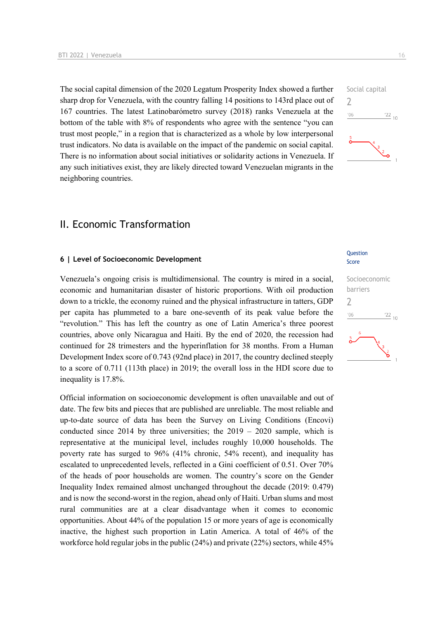The social capital dimension of the 2020 Legatum Prosperity Index showed a further sharp drop for Venezuela, with the country falling 14 positions to 143rd place out of 167 countries. The latest Latinobarómetro survey (2018) ranks Venezuela at the bottom of the table with 8% of respondents who agree with the sentence "you can trust most people," in a region that is characterized as a whole by low interpersonal trust indicators. No data is available on the impact of the pandemic on social capital. There is no information about social initiatives or solidarity actions in Venezuela. If any such initiatives exist, they are likely directed toward Venezuelan migrants in the neighboring countries.

## II. Economic Transformation

#### **6 | Level of Socioeconomic Development**

Venezuela's ongoing crisis is multidimensional. The country is mired in a social, economic and humanitarian disaster of historic proportions. With oil production down to a trickle, the economy ruined and the physical infrastructure in tatters, GDP per capita has plummeted to a bare one-seventh of its peak value before the "revolution." This has left the country as one of Latin America's three poorest countries, above only Nicaragua and Haiti. By the end of 2020, the recession had continued for 28 trimesters and the hyperinflation for 38 months. From a Human Development Index score of 0.743 (92nd place) in 2017, the country declined steeply to a score of 0.711 (113th place) in 2019; the overall loss in the HDI score due to inequality is 17.8%.

Official information on socioeconomic development is often unavailable and out of date. The few bits and pieces that are published are unreliable. The most reliable and up-to-date source of data has been the Survey on Living Conditions (Encovi) conducted since 2014 by three universities; the  $2019 - 2020$  sample, which is representative at the municipal level, includes roughly 10,000 households. The poverty rate has surged to 96% (41% chronic, 54% recent), and inequality has escalated to unprecedented levels, reflected in a Gini coefficient of 0.51. Over 70% of the heads of poor households are women. The country's score on the Gender Inequality Index remained almost unchanged throughout the decade (2019: 0.479) and is now the second-worst in the region, ahead only of Haiti. Urban slums and most rural communities are at a clear disadvantage when it comes to economic opportunities. About 44% of the population 15 or more years of age is economically inactive, the highest such proportion in Latin America. A total of 46% of the workforce hold regular jobs in the public (24%) and private (22%) sectors, while 45%

#### **Question** Score



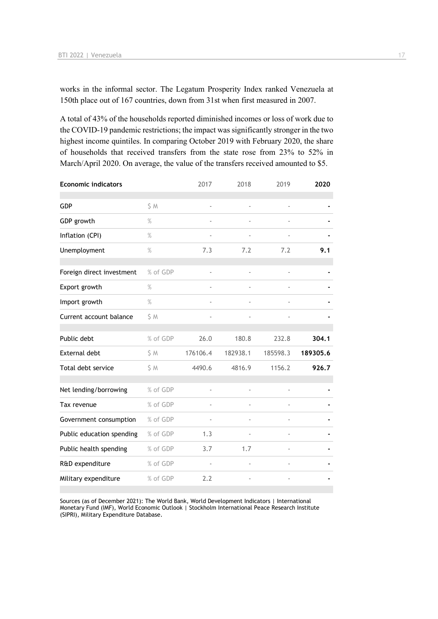works in the informal sector. The Legatum Prosperity Index ranked Venezuela at 150th place out of 167 countries, down from 31st when first measured in 2007.

A total of 43% of the households reported diminished incomes or loss of work due to the COVID-19 pandemic restrictions; the impact was significantly stronger in the two highest income quintiles. In comparing October 2019 with February 2020, the share of households that received transfers from the state rose from 23% to 52% in March/April 2020. On average, the value of the transfers received amounted to \$5.

|               | 2017                     | 2018                     | 2019           | 2020     |
|---------------|--------------------------|--------------------------|----------------|----------|
| \$M           |                          |                          |                |          |
| $\frac{9}{6}$ |                          |                          |                |          |
| $\frac{9}{6}$ |                          |                          |                |          |
| $\%$          | 7.3                      | 7.2                      | 7.2            | 9.1      |
| % of GDP      | $\blacksquare$           | $\overline{\phantom{a}}$ | $\blacksquare$ |          |
| $\%$          |                          |                          |                |          |
| $\%$          |                          |                          |                |          |
| \$ M          |                          |                          |                |          |
| % of GDP      | 26.0                     | 180.8                    | 232.8          | 304.1    |
| \$M           | 176106.4                 | 182938.1                 | 185598.3       | 189305.6 |
| \$ M          | 4490.6                   | 4816.9                   | 1156.2         | 926.7    |
| % of GDP      |                          |                          |                |          |
| % of GDP      |                          |                          |                |          |
| % of GDP      | $\overline{\phantom{a}}$ | $\overline{\phantom{a}}$ |                |          |
| % of GDP      | 1.3                      |                          |                |          |
| % of GDP      | 3.7                      | 1.7                      |                |          |
| % of GDP      |                          |                          |                |          |
| % of GDP      | 2.2                      |                          |                |          |
|               |                          |                          |                |          |

Sources (as of December 2021): The World Bank, World Development Indicators | International Monetary Fund (IMF), World Economic Outlook | Stockholm International Peace Research Institute (SIPRI), Military Expenditure Database.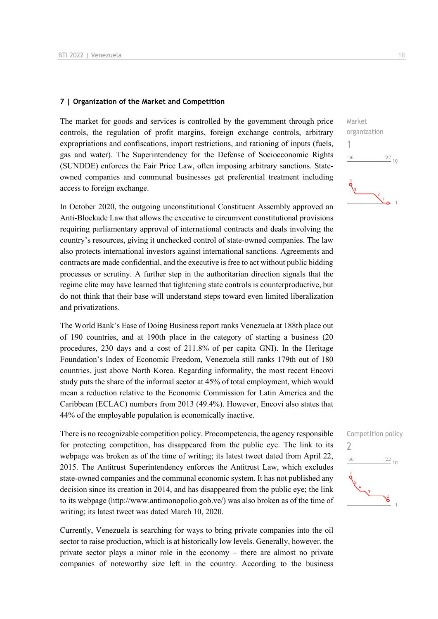#### **7 | Organization of the Market and Competition**

The market for goods and services is controlled by the government through price controls, the regulation of profit margins, foreign exchange controls, arbitrary expropriations and confiscations, import restrictions, and rationing of inputs (fuels, gas and water). The Superintendency for the Defense of Socioeconomic Rights (SUNDDE) enforces the Fair Price Law, often imposing arbitrary sanctions. Stateowned companies and communal businesses get preferential treatment including access to foreign exchange.

In October 2020, the outgoing unconstitutional Constituent Assembly approved an Anti-Blockade Law that allows the executive to circumvent constitutional provisions requiring parliamentary approval of international contracts and deals involving the country's resources, giving it unchecked control of state-owned companies. The law also protects international investors against international sanctions. Agreements and contracts are made confidential, and the executive is free to act without public bidding processes or scrutiny. A further step in the authoritarian direction signals that the regime elite may have learned that tightening state controls is counterproductive, but do not think that their base will understand steps toward even limited liberalization and privatizations.

The World Bank's Ease of Doing Business report ranks Venezuela at 188th place out of 190 countries, and at 190th place in the category of starting a business (20 procedures, 230 days and a cost of 211.8% of per capita GNI). In the Heritage Foundation's Index of Economic Freedom, Venezuela still ranks 179th out of 180 countries, just above North Korea. Regarding informality, the most recent Encovi study puts the share of the informal sector at 45% of total employment, which would mean a reduction relative to the Economic Commission for Latin America and the Caribbean (ECLAC) numbers from 2013 (49.4%). However, Encovi also states that 44% of the employable population is economically inactive.

There is no recognizable competition policy. Procompetencia, the agency responsible for protecting competition, has disappeared from the public eye. The link to its webpage was broken as of the time of writing; its latest tweet dated from April 22, 2015. The Antitrust Superintendency enforces the Antitrust Law, which excludes state-owned companies and the communal economic system. It has not published any decision since its creation in 2014, and has disappeared from the public eye; the link to its webpage (http://www.antimonopolio.gob.ve/) was also broken as of the time of writing; its latest tweet was dated March 10, 2020.

Currently, Venezuela is searching for ways to bring private companies into the oil sector to raise production, which is at historically low levels. Generally, however, the private sector plays a minor role in the economy – there are almost no private companies of noteworthy size left in the country. According to the business



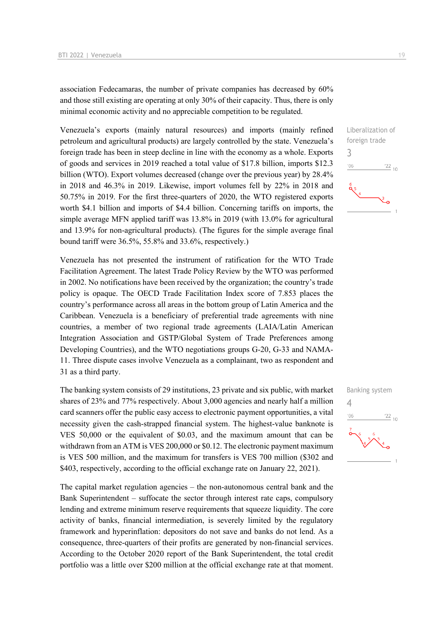association Fedecamaras, the number of private companies has decreased by 60% and those still existing are operating at only 30% of their capacity. Thus, there is only minimal economic activity and no appreciable competition to be regulated.

Venezuela's exports (mainly natural resources) and imports (mainly refined petroleum and agricultural products) are largely controlled by the state. Venezuela's foreign trade has been in steep decline in line with the economy as a whole. Exports of goods and services in 2019 reached a total value of \$17.8 billion, imports \$12.3 billion (WTO). Export volumes decreased (change over the previous year) by 28.4% in 2018 and 46.3% in 2019. Likewise, import volumes fell by 22% in 2018 and 50.75% in 2019. For the first three-quarters of 2020, the WTO registered exports worth \$4.1 billion and imports of \$4.4 billion. Concerning tariffs on imports, the simple average MFN applied tariff was 13.8% in 2019 (with 13.0% for agricultural and 13.9% for non-agricultural products). (The figures for the simple average final bound tariff were 36.5%, 55.8% and 33.6%, respectively.)

Venezuela has not presented the instrument of ratification for the WTO Trade Facilitation Agreement. The latest Trade Policy Review by the WTO was performed in 2002. No notifications have been received by the organization; the country's trade policy is opaque. The OECD Trade Facilitation Index score of 7.853 places the country's performance across all areas in the bottom group of Latin America and the Caribbean. Venezuela is a beneficiary of preferential trade agreements with nine countries, a member of two regional trade agreements (LAIA/Latin American Integration Association and GSTP/Global System of Trade Preferences among Developing Countries), and the WTO negotiations groups G-20, G-33 and NAMA-11. Three dispute cases involve Venezuela as a complainant, two as respondent and 31 as a third party.

The banking system consists of 29 institutions, 23 private and six public, with market shares of 23% and 77% respectively. About 3,000 agencies and nearly half a million card scanners offer the public easy access to electronic payment opportunities, a vital necessity given the cash-strapped financial system. The highest-value banknote is VES 50,000 or the equivalent of \$0.03, and the maximum amount that can be withdrawn from an ATM is VES 200,000 or \$0.12. The electronic payment maximum is VES 500 million, and the maximum for transfers is VES 700 million (\$302 and \$403, respectively, according to the official exchange rate on January 22, 2021).

The capital market regulation agencies – the non-autonomous central bank and the Bank Superintendent – suffocate the sector through interest rate caps, compulsory lending and extreme minimum reserve requirements that squeeze liquidity. The core activity of banks, financial intermediation, is severely limited by the regulatory framework and hyperinflation: depositors do not save and banks do not lend. As a consequence, three-quarters of their profits are generated by non-financial services. According to the October 2020 report of the Bank Superintendent, the total credit portfolio was a little over \$200 million at the official exchange rate at that moment.



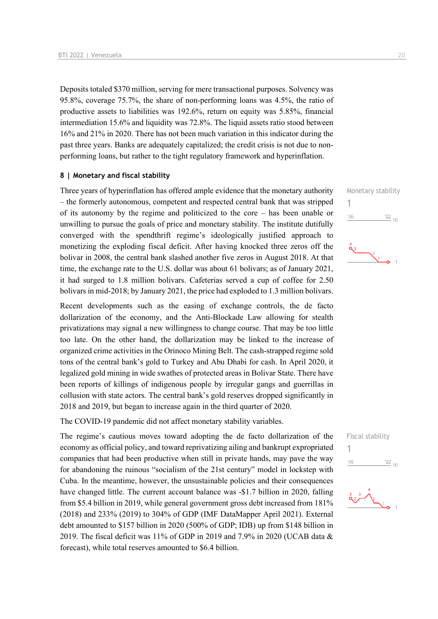Deposits totaled \$370 million, serving for mere transactional purposes. Solvency was 95.8%, coverage 75.7%, the share of non-performing loans was 4.5%, the ratio of productive assets to liabilities was 192.6%, return on equity was 5.85%, financial intermediation 15.6% and liquidity was 72.8%. The liquid assets ratio stood between 16% and 21% in 2020. There has not been much variation in this indicator during the past three years. Banks are adequately capitalized; the credit crisis is not due to nonperforming loans, but rather to the tight regulatory framework and hyperinflation.

#### **8 | Monetary and fiscal stability**

Three years of hyperinflation has offered ample evidence that the monetary authority – the formerly autonomous, competent and respected central bank that was stripped of its autonomy by the regime and politicized to the core – has been unable or unwilling to pursue the goals of price and monetary stability. The institute dutifully converged with the spendthrift regime's ideologically justified approach to monetizing the exploding fiscal deficit. After having knocked three zeros off the bolivar in 2008, the central bank slashed another five zeros in August 2018. At that time, the exchange rate to the U.S. dollar was about 61 bolivars; as of January 2021, it had surged to 1.8 million bolivars. Cafeterias served a cup of coffee for 2.50 bolivars in mid-2018; by January 2021, the price had exploded to 1.3 million bolivars.

Recent developments such as the easing of exchange controls, the de facto dollarization of the economy, and the Anti-Blockade Law allowing for stealth privatizations may signal a new willingness to change course. That may be too little too late. On the other hand, the dollarization may be linked to the increase of organized crime activities in the Orinoco Mining Belt. The cash-strapped regime sold tons of the central bank's gold to Turkey and Abu Dhabi for cash. In April 2020, it legalized gold mining in wide swathes of protected areas in Bolivar State. There have been reports of killings of indigenous people by irregular gangs and guerrillas in collusion with state actors. The central bank's gold reserves dropped significantly in 2018 and 2019, but began to increase again in the third quarter of 2020.

The COVID-19 pandemic did not affect monetary stability variables.

The regime's cautious moves toward adopting the de facto dollarization of the economy as official policy, and toward reprivatizing ailing and bankrupt expropriated companies that had been productive when still in private hands, may pave the way for abandoning the ruinous "socialism of the 21st century" model in lockstep with Cuba. In the meantime, however, the unsustainable policies and their consequences have changed little. The current account balance was -\$1.7 billion in 2020, falling from \$5.4 billion in 2019, while general government gross debt increased from 181% (2018) and 233% (2019) to 304% of GDP (IMF DataMapper April 2021). External debt amounted to \$157 billion in 2020 (500% of GDP; IDB) up from \$148 billion in 2019. The fiscal deficit was 11% of GDP in 2019 and 7.9% in 2020 (UCAB data  $\&$ forecast), while total reserves amounted to \$6.4 billion.





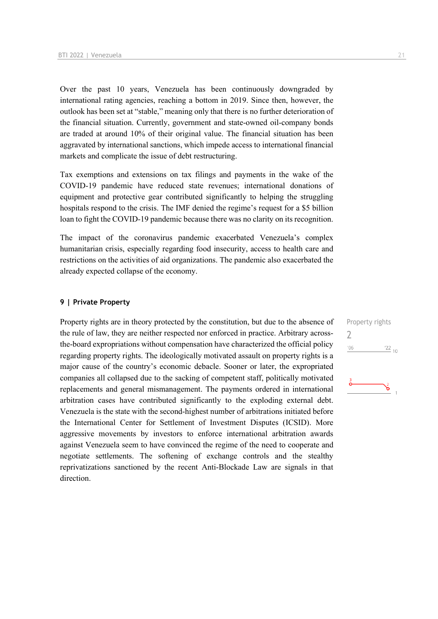Over the past 10 years, Venezuela has been continuously downgraded by international rating agencies, reaching a bottom in 2019. Since then, however, the outlook has been set at "stable," meaning only that there is no further deterioration of the financial situation. Currently, government and state-owned oil-company bonds are traded at around 10% of their original value. The financial situation has been aggravated by international sanctions, which impede access to international financial markets and complicate the issue of debt restructuring.

Tax exemptions and extensions on tax filings and payments in the wake of the COVID-19 pandemic have reduced state revenues; international donations of equipment and protective gear contributed significantly to helping the struggling hospitals respond to the crisis. The IMF denied the regime's request for a \$5 billion loan to fight the COVID-19 pandemic because there was no clarity on its recognition.

The impact of the coronavirus pandemic exacerbated Venezuela's complex humanitarian crisis, especially regarding food insecurity, access to health care and restrictions on the activities of aid organizations. The pandemic also exacerbated the already expected collapse of the economy.

#### **9 | Private Property**

Property rights are in theory protected by the constitution, but due to the absence of the rule of law, they are neither respected nor enforced in practice. Arbitrary acrossthe-board expropriations without compensation have characterized the official policy regarding property rights. The ideologically motivated assault on property rights is a major cause of the country's economic debacle. Sooner or later, the expropriated companies all collapsed due to the sacking of competent staff, politically motivated replacements and general mismanagement. The payments ordered in international arbitration cases have contributed significantly to the exploding external debt. Venezuela is the state with the second-highest number of arbitrations initiated before the International Center for Settlement of Investment Disputes (ICSID). More aggressive movements by investors to enforce international arbitration awards against Venezuela seem to have convinced the regime of the need to cooperate and negotiate settlements. The softening of exchange controls and the stealthy reprivatizations sanctioned by the recent Anti-Blockade Law are signals in that direction.

Property rights  $\overline{\phantom{0}}$  $'06$  $\frac{22}{10}$ ఠ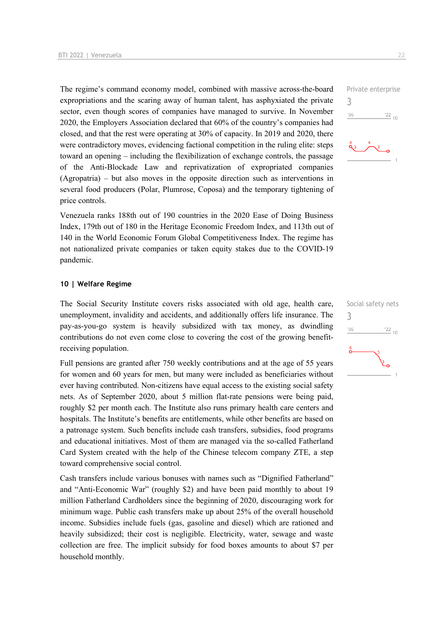The regime's command economy model, combined with massive across-the-board expropriations and the scaring away of human talent, has asphyxiated the private sector, even though scores of companies have managed to survive. In November 2020, the Employers Association declared that 60% of the country's companies had closed, and that the rest were operating at 30% of capacity. In 2019 and 2020, there were contradictory moves, evidencing factional competition in the ruling elite: steps toward an opening – including the flexibilization of exchange controls, the passage of the Anti-Blockade Law and reprivatization of expropriated companies (Agropatria) – but also moves in the opposite direction such as interventions in several food producers (Polar, Plumrose, Coposa) and the temporary tightening of price controls.

Venezuela ranks 188th out of 190 countries in the 2020 Ease of Doing Business Index, 179th out of 180 in the Heritage Economic Freedom Index, and 113th out of 140 in the World Economic Forum Global Competitiveness Index. The regime has not nationalized private companies or taken equity stakes due to the COVID-19 pandemic.

#### **10 | Welfare Regime**

The Social Security Institute covers risks associated with old age, health care, unemployment, invalidity and accidents, and additionally offers life insurance. The pay-as-you-go system is heavily subsidized with tax money, as dwindling contributions do not even come close to covering the cost of the growing benefitreceiving population.

Full pensions are granted after 750 weekly contributions and at the age of 55 years for women and 60 years for men, but many were included as beneficiaries without ever having contributed. Non-citizens have equal access to the existing social safety nets. As of September 2020, about 5 million flat-rate pensions were being paid, roughly \$2 per month each. The Institute also runs primary health care centers and hospitals. The Institute's benefits are entitlements, while other benefits are based on a patronage system. Such benefits include cash transfers, subsidies, food programs and educational initiatives. Most of them are managed via the so-called Fatherland Card System created with the help of the Chinese telecom company ZTE, a step toward comprehensive social control.

Cash transfers include various bonuses with names such as "Dignified Fatherland" and "Anti-Economic War" (roughly \$2) and have been paid monthly to about 19 million Fatherland Cardholders since the beginning of 2020, discouraging work for minimum wage. Public cash transfers make up about 25% of the overall household income. Subsidies include fuels (gas, gasoline and diesel) which are rationed and heavily subsidized; their cost is negligible. Electricity, water, sewage and waste collection are free. The implicit subsidy for food boxes amounts to about \$7 per household monthly.





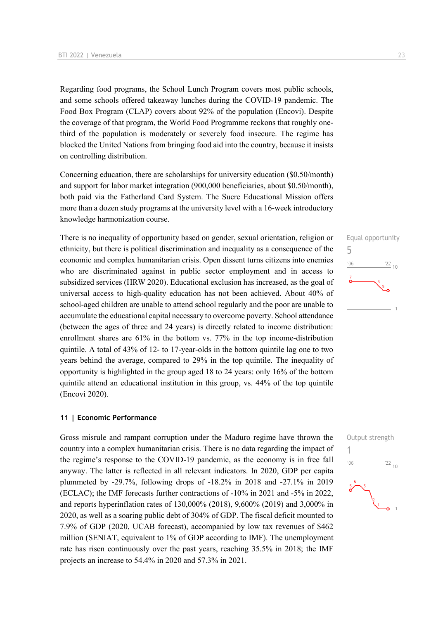Regarding food programs, the School Lunch Program covers most public schools, and some schools offered takeaway lunches during the COVID-19 pandemic. The Food Box Program (CLAP) covers about 92% of the population (Encovi). Despite the coverage of that program, the World Food Programme reckons that roughly onethird of the population is moderately or severely food insecure. The regime has blocked the United Nations from bringing food aid into the country, because it insists on controlling distribution.

Concerning education, there are scholarships for university education (\$0.50/month) and support for labor market integration (900,000 beneficiaries, about \$0.50/month), both paid via the Fatherland Card System. The Sucre Educational Mission offers more than a dozen study programs at the university level with a 16-week introductory knowledge harmonization course.

There is no inequality of opportunity based on gender, sexual orientation, religion or ethnicity, but there is political discrimination and inequality as a consequence of the economic and complex humanitarian crisis. Open dissent turns citizens into enemies who are discriminated against in public sector employment and in access to subsidized services (HRW 2020). Educational exclusion has increased, as the goal of universal access to high-quality education has not been achieved. About 40% of school-aged children are unable to attend school regularly and the poor are unable to accumulate the educational capital necessary to overcome poverty. School attendance (between the ages of three and 24 years) is directly related to income distribution: enrollment shares are 61% in the bottom vs. 77% in the top income-distribution quintile. A total of 43% of 12- to 17-year-olds in the bottom quintile lag one to two years behind the average, compared to 29% in the top quintile. The inequality of opportunity is highlighted in the group aged 18 to 24 years: only 16% of the bottom quintile attend an educational institution in this group, vs. 44% of the top quintile (Encovi 2020).

#### **11 | Economic Performance**

Gross misrule and rampant corruption under the Maduro regime have thrown the country into a complex humanitarian crisis. There is no data regarding the impact of the regime's response to the COVID-19 pandemic, as the economy is in free fall anyway. The latter is reflected in all relevant indicators. In 2020, GDP per capita plummeted by -29.7%, following drops of -18.2% in 2018 and -27.1% in 2019 (ECLAC); the IMF forecasts further contractions of -10% in 2021 and -5% in 2022, and reports hyperinflation rates of 130,000% (2018), 9,600% (2019) and 3,000% in 2020, as well as a soaring public debt of 304% of GDP. The fiscal deficit mounted to 7.9% of GDP (2020, UCAB forecast), accompanied by low tax revenues of \$462 million (SENIAT, equivalent to 1% of GDP according to IMF). The unemployment rate has risen continuously over the past years, reaching 35.5% in 2018; the IMF projects an increase to 54.4% in 2020 and 57.3% in 2021.



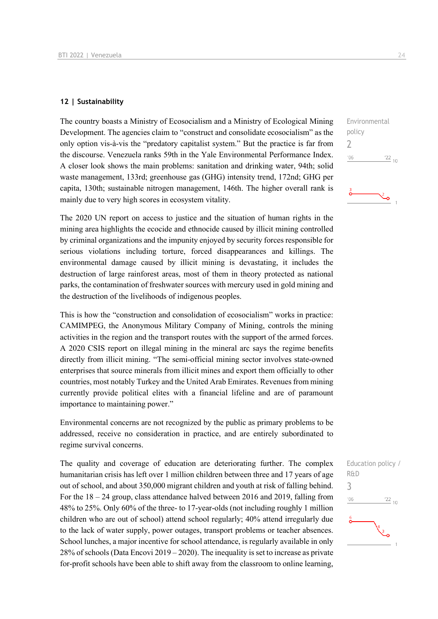#### **12 | Sustainability**

The country boasts a Ministry of Ecosocialism and a Ministry of Ecological Mining Development. The agencies claim to "construct and consolidate ecosocialism" as the only option vis-à-vis the "predatory capitalist system." But the practice is far from the discourse. Venezuela ranks 59th in the Yale Environmental Performance Index. A closer look shows the main problems: sanitation and drinking water, 94th; solid waste management, 133rd; greenhouse gas (GHG) intensity trend, 172nd; GHG per capita, 130th; sustainable nitrogen management, 146th. The higher overall rank is mainly due to very high scores in ecosystem vitality.

The 2020 UN report on access to justice and the situation of human rights in the mining area highlights the ecocide and ethnocide caused by illicit mining controlled by criminal organizations and the impunity enjoyed by security forces responsible for serious violations including torture, forced disappearances and killings. The environmental damage caused by illicit mining is devastating, it includes the destruction of large rainforest areas, most of them in theory protected as national parks, the contamination of freshwater sources with mercury used in gold mining and the destruction of the livelihoods of indigenous peoples.

This is how the "construction and consolidation of ecosocialism" works in practice: CAMIMPEG, the Anonymous Military Company of Mining, controls the mining activities in the region and the transport routes with the support of the armed forces. A 2020 CSIS report on illegal mining in the mineral arc says the regime benefits directly from illicit mining. "The semi-official mining sector involves state-owned enterprises that source minerals from illicit mines and export them officially to other countries, most notably Turkey and the United Arab Emirates. Revenues from mining currently provide political elites with a financial lifeline and are of paramount importance to maintaining power."

Environmental concerns are not recognized by the public as primary problems to be addressed, receive no consideration in practice, and are entirely subordinated to regime survival concerns.

The quality and coverage of education are deteriorating further. The complex humanitarian crisis has left over 1 million children between three and 17 years of age out of school, and about 350,000 migrant children and youth at risk of falling behind. For the 18 – 24 group, class attendance halved between 2016 and 2019, falling from 48% to 25%. Only 60% of the three- to 17-year-olds (not including roughly 1 million children who are out of school) attend school regularly; 40% attend irregularly due to the lack of water supply, power outages, transport problems or teacher absences. School lunches, a major incentive for school attendance, is regularly available in only 28% of schools (Data Encovi 2019 – 2020). The inequality is set to increase as private for-profit schools have been able to shift away from the classroom to online learning,



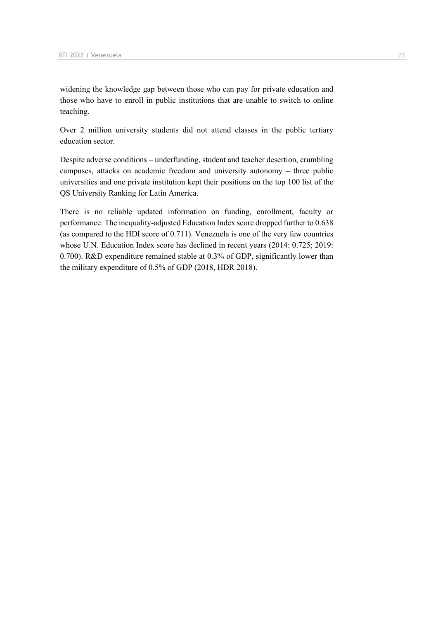widening the knowledge gap between those who can pay for private education and those who have to enroll in public institutions that are unable to switch to online teaching.

Over 2 million university students did not attend classes in the public tertiary education sector.

Despite adverse conditions – underfunding, student and teacher desertion, crumbling campuses, attacks on academic freedom and university autonomy – three public universities and one private institution kept their positions on the top 100 list of the QS University Ranking for Latin America.

There is no reliable updated information on funding, enrollment, faculty or performance. The inequality-adjusted Education Index score dropped further to 0.638 (as compared to the HDI score of 0.711). Venezuela is one of the very few countries whose U.N. Education Index score has declined in recent years (2014: 0.725; 2019: 0.700). R&D expenditure remained stable at 0.3% of GDP, significantly lower than the military expenditure of 0.5% of GDP (2018, HDR 2018).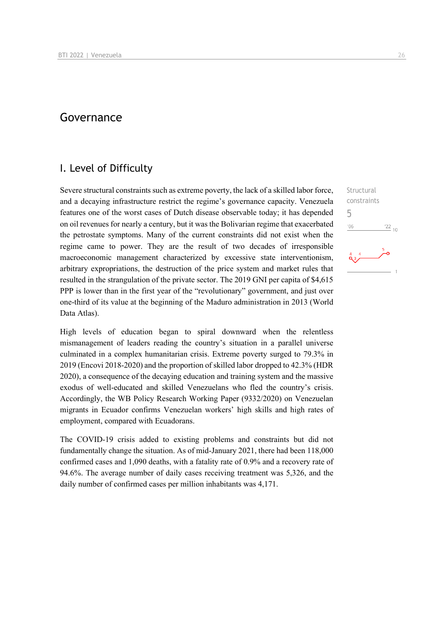## Governance

### I. Level of Difficulty

Severe structural constraints such as extreme poverty, the lack of a skilled labor force, and a decaying infrastructure restrict the regime's governance capacity. Venezuela features one of the worst cases of Dutch disease observable today; it has depended on oil revenues for nearly a century, but it was the Bolivarian regime that exacerbated the petrostate symptoms. Many of the current constraints did not exist when the regime came to power. They are the result of two decades of irresponsible macroeconomic management characterized by excessive state interventionism, arbitrary expropriations, the destruction of the price system and market rules that resulted in the strangulation of the private sector. The 2019 GNI per capita of \$4,615 PPP is lower than in the first year of the "revolutionary" government, and just over one-third of its value at the beginning of the Maduro administration in 2013 (World Data Atlas).

High levels of education began to spiral downward when the relentless mismanagement of leaders reading the country's situation in a parallel universe culminated in a complex humanitarian crisis. Extreme poverty surged to 79.3% in 2019 (Encovi 2018-2020) and the proportion of skilled labor dropped to 42.3% (HDR 2020), a consequence of the decaying education and training system and the massive exodus of well-educated and skilled Venezuelans who fled the country's crisis. Accordingly, the WB Policy Research Working Paper (9332/2020) on Venezuelan migrants in Ecuador confirms Venezuelan workers' high skills and high rates of employment, compared with Ecuadorans.

The COVID-19 crisis added to existing problems and constraints but did not fundamentally change the situation. As of mid-January 2021, there had been 118,000 confirmed cases and 1,090 deaths, with a fatality rate of 0.9% and a recovery rate of 94.6%. The average number of daily cases receiving treatment was 5,326, and the daily number of confirmed cases per million inhabitants was 4,171.

Structural constraints 5 $n<sub>6</sub>$  $^{22}$  10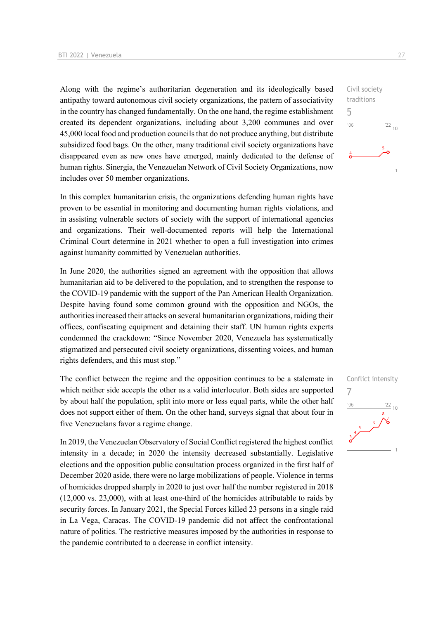Along with the regime's authoritarian degeneration and its ideologically based antipathy toward autonomous civil society organizations, the pattern of associativity in the country has changed fundamentally. On the one hand, the regime establishment created its dependent organizations, including about 3,200 communes and over 45,000 local food and production councils that do not produce anything, but distribute subsidized food bags. On the other, many traditional civil society organizations have disappeared even as new ones have emerged, mainly dedicated to the defense of human rights. Sinergia, the Venezuelan Network of Civil Society Organizations, now includes over 50 member organizations.

In this complex humanitarian crisis, the organizations defending human rights have proven to be essential in monitoring and documenting human rights violations, and in assisting vulnerable sectors of society with the support of international agencies and organizations. Their well-documented reports will help the International Criminal Court determine in 2021 whether to open a full investigation into crimes against humanity committed by Venezuelan authorities.

In June 2020, the authorities signed an agreement with the opposition that allows humanitarian aid to be delivered to the population, and to strengthen the response to the COVID-19 pandemic with the support of the Pan American Health Organization. Despite having found some common ground with the opposition and NGOs, the authorities increased their attacks on several humanitarian organizations, raiding their offices, confiscating equipment and detaining their staff. UN human rights experts condemned the crackdown: "Since November 2020, Venezuela has systematically stigmatized and persecuted civil society organizations, dissenting voices, and human rights defenders, and this must stop."

The conflict between the regime and the opposition continues to be a stalemate in which neither side accepts the other as a valid interlocutor. Both sides are supported by about half the population, split into more or less equal parts, while the other half does not support either of them. On the other hand, surveys signal that about four in five Venezuelans favor a regime change.

In 2019, the Venezuelan Observatory of Social Conflict registered the highest conflict intensity in a decade; in 2020 the intensity decreased substantially. Legislative elections and the opposition public consultation process organized in the first half of December 2020 aside, there were no large mobilizations of people. Violence in terms of homicides dropped sharply in 2020 to just over half the number registered in 2018 (12,000 vs. 23,000), with at least one-third of the homicides attributable to raids by security forces. In January 2021, the Special Forces killed 23 persons in a single raid in La Vega, Caracas. The COVID-19 pandemic did not affect the confrontational nature of politics. The restrictive measures imposed by the authorities in response to the pandemic contributed to a decrease in conflict intensity.



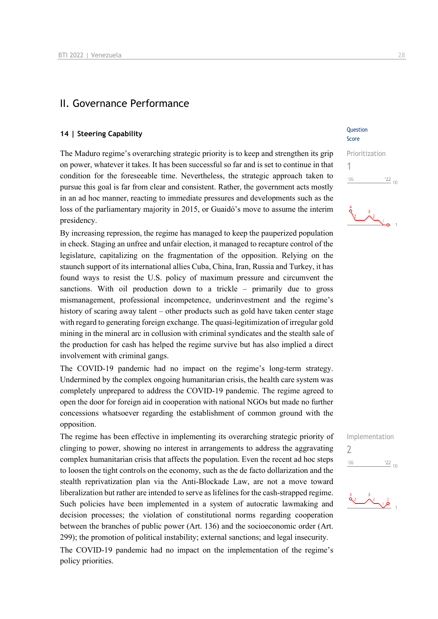## II. Governance Performance

## **14 | Steering Capability Capability Capability Current Capability Question**

The Maduro regime's overarching strategic priority is to keep and strengthen its grip on power, whatever it takes. It has been successful so far and is set to continue in that condition for the foreseeable time. Nevertheless, the strategic approach taken to pursue this goal is far from clear and consistent. Rather, the government acts mostly in an ad hoc manner, reacting to immediate pressures and developments such as the loss of the parliamentary majority in 2015, or Guaidó's move to assume the interim presidency.

By increasing repression, the regime has managed to keep the pauperized population in check. Staging an unfree and unfair election, it managed to recapture control of the legislature, capitalizing on the fragmentation of the opposition. Relying on the staunch support of its international allies Cuba, China, Iran, Russia and Turkey, it has found ways to resist the U.S. policy of maximum pressure and circumvent the sanctions. With oil production down to a trickle – primarily due to gross mismanagement, professional incompetence, underinvestment and the regime's history of scaring away talent – other products such as gold have taken center stage with regard to generating foreign exchange. The quasi-legitimization of irregular gold mining in the mineral arc in collusion with criminal syndicates and the stealth sale of the production for cash has helped the regime survive but has also implied a direct involvement with criminal gangs.

The COVID-19 pandemic had no impact on the regime's long-term strategy. Undermined by the complex ongoing humanitarian crisis, the health care system was completely unprepared to address the COVID-19 pandemic. The regime agreed to open the door for foreign aid in cooperation with national NGOs but made no further concessions whatsoever regarding the establishment of common ground with the opposition.

The regime has been effective in implementing its overarching strategic priority of clinging to power, showing no interest in arrangements to address the aggravating complex humanitarian crisis that affects the population. Even the recent ad hoc steps to loosen the tight controls on the economy, such as the de facto dollarization and the stealth reprivatization plan via the Anti-Blockade Law, are not a move toward liberalization but rather are intended to serve as lifelines for the cash-strapped regime. Such policies have been implemented in a system of autocratic lawmaking and decision processes; the violation of constitutional norms regarding cooperation between the branches of public power (Art. 136) and the socioeconomic order (Art. 299); the promotion of political instability; external sanctions; and legal insecurity.

The COVID-19 pandemic had no impact on the implementation of the regime's policy priorities.

## Score

# Prioritization 1  $n<sub>6</sub>$  $\frac{22}{10}$  $\lambda$ <sup>3</sup>



 $\frac{3}{2}$   $\frac{2}{9}$  1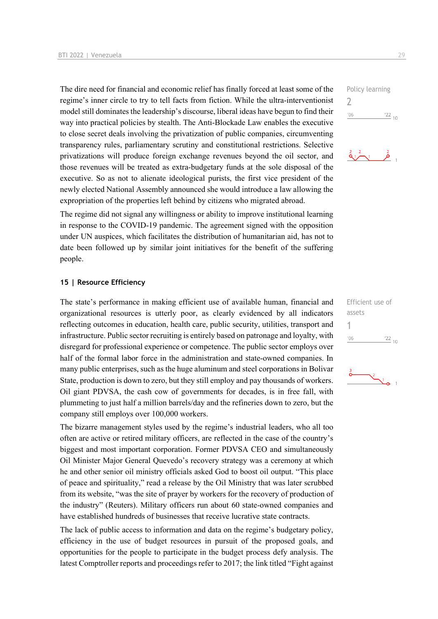The dire need for financial and economic relief has finally forced at least some of the regime's inner circle to try to tell facts from fiction. While the ultra-interventionist model still dominates the leadership's discourse, liberal ideas have begun to find their way into practical policies by stealth. The Anti-Blockade Law enables the executive to close secret deals involving the privatization of public companies, circumventing transparency rules, parliamentary scrutiny and constitutional restrictions. Selective privatizations will produce foreign exchange revenues beyond the oil sector, and those revenues will be treated as extra-budgetary funds at the sole disposal of the executive. So as not to alienate ideological purists, the first vice president of the newly elected National Assembly announced she would introduce a law allowing the expropriation of the properties left behind by citizens who migrated abroad.

The regime did not signal any willingness or ability to improve institutional learning in response to the COVID-19 pandemic. The agreement signed with the opposition under UN auspices, which facilitates the distribution of humanitarian aid, has not to date been followed up by similar joint initiatives for the benefit of the suffering people.

#### **15 | Resource Efficiency**

The state's performance in making efficient use of available human, financial and organizational resources is utterly poor, as clearly evidenced by all indicators reflecting outcomes in education, health care, public security, utilities, transport and infrastructure. Public sector recruiting is entirely based on patronage and loyalty, with disregard for professional experience or competence. The public sector employs over half of the formal labor force in the administration and state-owned companies. In many public enterprises, such as the huge aluminum and steel corporations in Bolivar State, production is down to zero, but they still employ and pay thousands of workers. Oil giant PDVSA, the cash cow of governments for decades, is in free fall, with plummeting to just half a million barrels/day and the refineries down to zero, but the company still employs over 100,000 workers.

The bizarre management styles used by the regime's industrial leaders, who all too often are active or retired military officers, are reflected in the case of the country's biggest and most important corporation. Former PDVSA CEO and simultaneously Oil Minister Major General Quevedo's recovery strategy was a ceremony at which he and other senior oil ministry officials asked God to boost oil output. "This place of peace and spirituality," read a release by the Oil Ministry that was later scrubbed from its website, "was the site of prayer by workers for the recovery of production of the industry" (Reuters). Military officers run about 60 state-owned companies and have established hundreds of businesses that receive lucrative state contracts.

The lack of public access to information and data on the regime's budgetary policy, efficiency in the use of budget resources in pursuit of the proposed goals, and opportunities for the people to participate in the budget process defy analysis. The latest Comptroller reports and proceedings refer to 2017; the link titled "Fight against





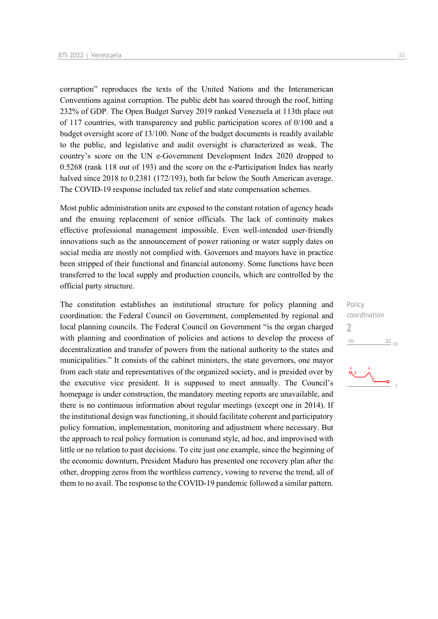corruption" reproduces the texts of the United Nations and the Interamerican Conventions against corruption. The public debt has soared through the roof, hitting 232% of GDP. The Open Budget Survey 2019 ranked Venezuela at 113th place out of 117 countries, with transparency and public participation scores of 0/100 and a budget oversight score of 13/100. None of the budget documents is readily available to the public, and legislative and audit oversight is characterized as weak. The country's score on the UN e-Government Development Index 2020 dropped to 0.5268 (rank 118 out of 193) and the score on the e-Participation Index has nearly halved since 2018 to 0.2381 (172/193), both far below the South American average. The COVID-19 response included tax relief and state compensation schemes.

Most public administration units are exposed to the constant rotation of agency heads and the ensuing replacement of senior officials. The lack of continuity makes effective professional management impossible. Even well-intended user-friendly innovations such as the announcement of power rationing or water supply dates on social media are mostly not complied with. Governors and mayors have in practice been stripped of their functional and financial autonomy. Some functions have been transferred to the local supply and production councils, which are controlled by the official party structure.

The constitution establishes an institutional structure for policy planning and coordination: the Federal Council on Government, complemented by regional and local planning councils. The Federal Council on Government "is the organ charged with planning and coordination of policies and actions to develop the process of decentralization and transfer of powers from the national authority to the states and municipalities." It consists of the cabinet ministers, the state governors, one mayor from each state and representatives of the organized society, and is presided over by the executive vice president. It is supposed to meet annually. The Council's homepage is under construction, the mandatory meeting reports are unavailable, and there is no continuous information about regular meetings (except one in 2014). If the institutional design was functioning, it should facilitate coherent and participatory policy formation, implementation, monitoring and adjustment where necessary. But the approach to real policy formation is command style, ad hoc, and improvised with little or no relation to past decisions. To cite just one example, since the beginning of the economic downturn, President Maduro has presented one recovery plan after the other, dropping zeros from the worthless currency, vowing to reverse the trend, all of them to no avail. The response to the COVID-19 pandemic followed a similar pattern.

Policy coordination  $\overline{\phantom{0}}$  $\frac{22}{10}$  $'06$ 

$$
\begin{array}{c}\n \stackrel{4}{\bigcirc} \\
\stackrel{4}{\bigcirc} \\
\stackrel{4}{\bigcirc} \\
\stackrel{4}{\bigcirc} \\
\stackrel{4}{\bigcirc} \\
\stackrel{4}{\bigcirc} \\
\stackrel{4}{\bigcirc} \\
\stackrel{4}{\bigcirc} \\
\stackrel{4}{\bigcirc} \\
\stackrel{4}{\bigcirc} \\
\stackrel{4}{\bigcirc} \\
\stackrel{4}{\bigcirc} \\
\stackrel{4}{\bigcirc} \\
\stackrel{4}{\bigcirc} \\
\stackrel{4}{\bigcirc} \\
\stackrel{4}{\bigcirc} \\
\stackrel{4}{\bigcirc} \\
\stackrel{4}{\bigcirc} \\
\stackrel{4}{\bigcirc} \\
\stackrel{4}{\bigcirc} \\
\stackrel{4}{\bigcirc} \\
\stackrel{4}{\bigcirc} \\
\stackrel{4}{\bigcirc} \\
\stackrel{4}{\bigcirc} \\
\stackrel{4}{\bigcirc} \\
\stackrel{4}{\bigcirc} \\
\stackrel{4}{\bigcirc} \\
\stackrel{4}{\bigcirc} \\
\stackrel{4}{\bigcirc} \\
\stackrel{4}{\bigcirc} \\
\stackrel{4}{\bigcirc} \\
\stackrel{4}{\bigcirc} \\
\stackrel{4}{\bigcirc} \\
\stackrel{4}{\bigcirc} \\
\stackrel{4}{\bigcirc} \\
\stackrel{4}{\bigcirc} \\
\stackrel{4}{\bigcirc} \\
\stackrel{4}{\bigcirc} \\
\stackrel{4}{\bigcirc} \\
\stackrel{4}{\bigcirc} \\
\stackrel{4}{\bigcirc} \\
\stackrel{4}{\bigcirc} \\
\stackrel{4}{\bigcirc} \\
\stackrel{4}{\bigcirc} \\
\stackrel{4}{\bigcirc} \\
\stackrel{4}{\bigcirc} \\
\stackrel{4}{\bigcirc} \\
\stackrel{4}{\bigcirc} \\
\stackrel{4}{\bigcirc} \\
\stackrel{4}{\bigcirc} \\
\stackrel{4}{\bigcirc} \\
\stackrel{4}{\bigcirc} \\
\stackrel{4}{\bigcirc} \\
\stackrel{4}{\bigcirc} \\
\stackrel{4}{\bigcirc} \\
\stackrel{4}{\bigcirc} \\
\stackrel{4}{\bigcirc} \\
\stackrel{4}{\bigcirc} \\
\stackrel{4}{\bigcirc} \\
\stackrel{4}{\bigcirc} \\
\stackrel{4}{\bigcirc} \\
\stackrel{4}{\bigcirc} \\
\stackrel{4}{\bigcirc} \\
\stackrel{4}{\bigcirc} \\
\stackrel{4}{\bigcirc} \\
\stackrel{4}{\bigcirc} \\
\stackrel{4}{\bigcirc} \\
\stackrel{4}{\bigcirc} \\
\stackrel{
$$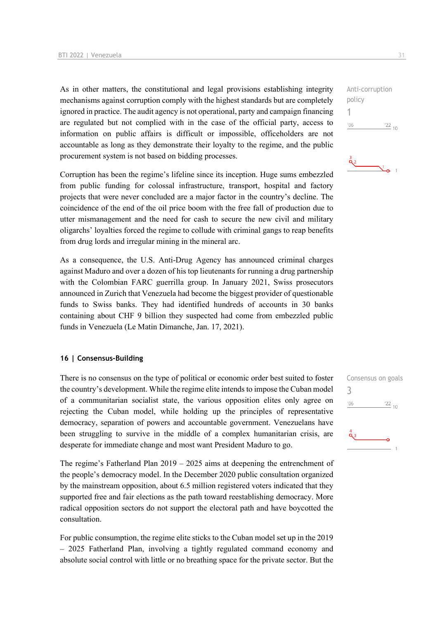As in other matters, the constitutional and legal provisions establishing integrity mechanisms against corruption comply with the highest standards but are completely ignored in practice. The audit agency is not operational, party and campaign financing are regulated but not complied with in the case of the official party, access to information on public affairs is difficult or impossible, officeholders are not accountable as long as they demonstrate their loyalty to the regime, and the public procurement system is not based on bidding processes.

Corruption has been the regime's lifeline since its inception. Huge sums embezzled from public funding for colossal infrastructure, transport, hospital and factory projects that were never concluded are a major factor in the country's decline. The coincidence of the end of the oil price boom with the free fall of production due to utter mismanagement and the need for cash to secure the new civil and military oligarchs' loyalties forced the regime to collude with criminal gangs to reap benefits from drug lords and irregular mining in the mineral arc.

As a consequence, the U.S. Anti-Drug Agency has announced criminal charges against Maduro and over a dozen of his top lieutenants for running a drug partnership with the Colombian FARC guerrilla group. In January 2021, Swiss prosecutors announced in Zurich that Venezuela had become the biggest provider of questionable funds to Swiss banks. They had identified hundreds of accounts in 30 banks containing about CHF 9 billion they suspected had come from embezzled public funds in Venezuela (Le Matin Dimanche, Jan. 17, 2021).

#### **16 | Consensus-Building**

There is no consensus on the type of political or economic order best suited to foster the country's development. While the regime elite intends to impose the Cuban model of a communitarian socialist state, the various opposition elites only agree on rejecting the Cuban model, while holding up the principles of representative democracy, separation of powers and accountable government. Venezuelans have been struggling to survive in the middle of a complex humanitarian crisis, are desperate for immediate change and most want President Maduro to go.

The regime's Fatherland Plan 2019 – 2025 aims at deepening the entrenchment of the people's democracy model. In the December 2020 public consultation organized by the mainstream opposition, about 6.5 million registered voters indicated that they supported free and fair elections as the path toward reestablishing democracy. More radical opposition sectors do not support the electoral path and have boycotted the consultation.

For public consumption, the regime elite sticks to the Cuban model set up in the 2019 – 2025 Fatherland Plan, involving a tightly regulated command economy and absolute social control with little or no breathing space for the private sector. But the

Consensus on goals 3 $06'$  $\frac{22}{10}$ 

1  $-06$  $\frac{22}{10}$ 

Anti-corruption

policy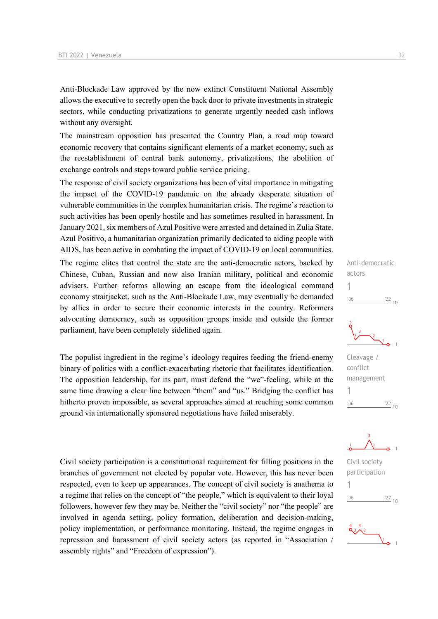Anti-Blockade Law approved by the now extinct Constituent National Assembly allows the executive to secretly open the back door to private investments in strategic sectors, while conducting privatizations to generate urgently needed cash inflows without any oversight.

The mainstream opposition has presented the Country Plan, a road map toward economic recovery that contains significant elements of a market economy, such as the reestablishment of central bank autonomy, privatizations, the abolition of exchange controls and steps toward public service pricing.

The response of civil society organizations has been of vital importance in mitigating the impact of the COVID-19 pandemic on the already desperate situation of vulnerable communities in the complex humanitarian crisis. The regime's reaction to such activities has been openly hostile and has sometimes resulted in harassment. In January 2021, six members of Azul Positivo were arrested and detained in Zulia State. Azul Positivo, a humanitarian organization primarily dedicated to aiding people with AIDS, has been active in combating the impact of COVID-19 on local communities.

The regime elites that control the state are the anti-democratic actors, backed by Chinese, Cuban, Russian and now also Iranian military, political and economic advisers. Further reforms allowing an escape from the ideological command economy straitjacket, such as the Anti-Blockade Law, may eventually be demanded by allies in order to secure their economic interests in the country. Reformers advocating democracy, such as opposition groups inside and outside the former parliament, have been completely sidelined again.

The populist ingredient in the regime's ideology requires feeding the friend-enemy binary of politics with a conflict-exacerbating rhetoric that facilitates identification. The opposition leadership, for its part, must defend the "we"-feeling, while at the same time drawing a clear line between "them" and "us." Bridging the conflict has hitherto proven impossible, as several approaches aimed at reaching some common ground via internationally sponsored negotiations have failed miserably.

Civil society participation is a constitutional requirement for filling positions in the branches of government not elected by popular vote. However, this has never been respected, even to keep up appearances. The concept of civil society is anathema to a regime that relies on the concept of "the people," which is equivalent to their loyal followers, however few they may be. Neither the "civil society" nor "the people" are involved in agenda setting, policy formation, deliberation and decision-making, policy implementation, or performance monitoring. Instead, the regime engages in repression and harassment of civil society actors (as reported in "Association / assembly rights" and "Freedom of expression").

Anti-democratic actors 1  $^{\prime}06$  $22_{10}$ 



Cleavage / conflict management 1  $-06$  $\frac{22}{10}$ 



Civil society participation 1 $\frac{22}{10}$  $06'$ 

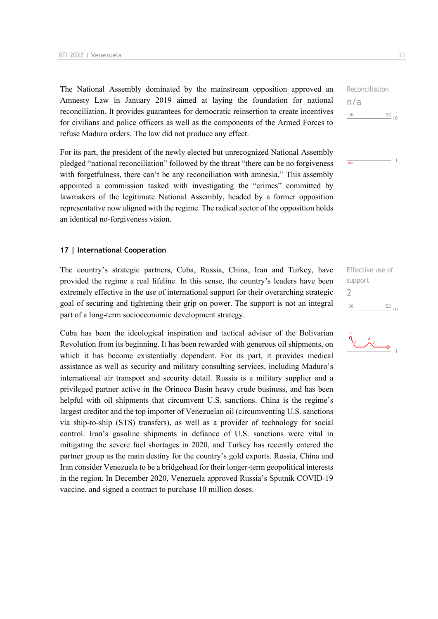The National Assembly dominated by the mainstream opposition approved an Amnesty Law in January 2019 aimed at laying the foundation for national reconciliation. It provides guarantees for democratic reinsertion to create incentives for civilians and police officers as well as the components of the Armed Forces to refuse Maduro orders. The law did not produce any effect.

For its part, the president of the newly elected but unrecognized National Assembly pledged "national reconciliation" followed by the threat "there can be no forgiveness with forgetfulness, there can't be any reconciliation with amnesia," This assembly appointed a commission tasked with investigating the "crimes" committed by lawmakers of the legitimate National Assembly, headed by a former opposition representative now aligned with the regime. The radical sector of the opposition holds an identical no-forgiveness vision.

#### **17 | International Cooperation**

The country's strategic partners, Cuba, Russia, China, Iran and Turkey, have provided the regime a real lifeline. In this sense, the country's leaders have been extremely effective in the use of international support for their overarching strategic goal of securing and tightening their grip on power. The support is not an integral part of a long-term socioeconomic development strategy.

Cuba has been the ideological inspiration and tactical adviser of the Bolivarian Revolution from its beginning. It has been rewarded with generous oil shipments, on which it has become existentially dependent. For its part, it provides medical assistance as well as security and military consulting services, including Maduro's international air transport and security detail. Russia is a military supplier and a privileged partner active in the Orinoco Basin heavy crude business, and has been helpful with oil shipments that circumvent U.S. sanctions. China is the regime's largest creditor and the top importer of Venezuelan oil (circumventing U.S. sanctions via ship-to-ship (STS) transfers), as well as a provider of technology for social control. Iran's gasoline shipments in defiance of U.S. sanctions were vital in mitigating the severe fuel shortages in 2020, and Turkey has recently entered the partner group as the main destiny for the country's gold exports. Russia, China and Iran consider Venezuela to be a bridgehead for their longer-term geopolitical interests in the region. In December 2020, Venezuela approved Russia's Sputnik COVID-19 vaccine, and signed a contract to purchase 10 million doses.

Reconciliation n/a  $-06$  $\frac{22}{10}$ 

 $\overline{nlz}$ 

Effective use of support  $\overline{\phantom{0}}$  $-06$  $\frac{22}{10}$ 

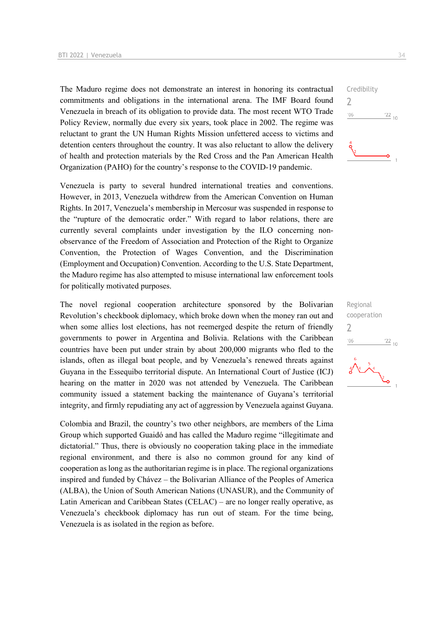The Maduro regime does not demonstrate an interest in honoring its contractual commitments and obligations in the international arena. The IMF Board found Venezuela in breach of its obligation to provide data. The most recent WTO Trade Policy Review, normally due every six years, took place in 2002. The regime was reluctant to grant the UN Human Rights Mission unfettered access to victims and detention centers throughout the country. It was also reluctant to allow the delivery of health and protection materials by the Red Cross and the Pan American Health Organization (PAHO) for the country's response to the COVID-19 pandemic.

Venezuela is party to several hundred international treaties and conventions. However, in 2013, Venezuela withdrew from the American Convention on Human Rights. In 2017, Venezuela's membership in Mercosur was suspended in response to the "rupture of the democratic order." With regard to labor relations, there are currently several complaints under investigation by the ILO concerning nonobservance of the Freedom of Association and Protection of the Right to Organize Convention, the Protection of Wages Convention, and the Discrimination (Employment and Occupation) Convention. According to the U.S. State Department, the Maduro regime has also attempted to misuse international law enforcement tools for politically motivated purposes.

The novel regional cooperation architecture sponsored by the Bolivarian Revolution's checkbook diplomacy, which broke down when the money ran out and when some allies lost elections, has not reemerged despite the return of friendly governments to power in Argentina and Bolivia. Relations with the Caribbean countries have been put under strain by about 200,000 migrants who fled to the islands, often as illegal boat people, and by Venezuela's renewed threats against Guyana in the Essequibo territorial dispute. An International Court of Justice (ICJ) hearing on the matter in 2020 was not attended by Venezuela. The Caribbean community issued a statement backing the maintenance of Guyana's territorial integrity, and firmly repudiating any act of aggression by Venezuela against Guyana.

Colombia and Brazil, the country's two other neighbors, are members of the Lima Group which supported Guaidó and has called the Maduro regime "illegitimate and dictatorial." Thus, there is obviously no cooperation taking place in the immediate regional environment, and there is also no common ground for any kind of cooperation as long as the authoritarian regime is in place. The regional organizations inspired and funded by Chávez – the Bolivarian Alliance of the Peoples of America (ALBA), the Union of South American Nations (UNASUR), and the Community of Latin American and Caribbean States (CELAC) – are no longer really operative, as Venezuela's checkbook diplomacy has run out of steam. For the time being, Venezuela is as isolated in the region as before.